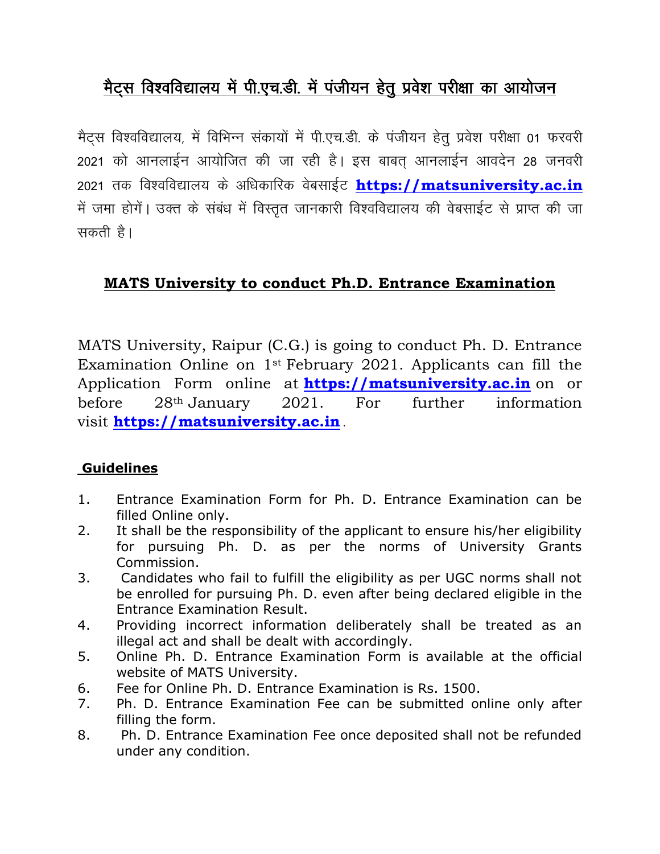## मैट्स विश्वविद्यालय में पी.एच.डी. में पंजीयन हेतु प्रवेश परीक्षा का आयोजन

मैटस विश्वविद्यालय, में विभिन्न संकायों में पी.एच.डी. के पंजीयन हेतु प्रवेश परीक्षा 01 फरवरी 2021 को आनलाईन आयोजित की जा रही है। इस बाबत आनलाईन आवदेन 28 जनवरी 2021 तक विश्वविद्यालय के अधिकारिक वेबसाईट [https://matsuniversity.ac.in](https://matsuniversity.ac.in/) में जमा होगें। उक्त के संबंध में विस्तृत जानकारी विश्वविद्यालय की वेबसाईट से प्राप्त की जा सकती है।

## **MATS University to conduct Ph.D. Entrance Examination**

MATS University, Raipur (C.G.) is going to conduct Ph. D. Entrance Examination Online on 1st February 2021. Applicants can fill the Application Form online at **[https://matsuniversity.ac.in](https://matsuniversity.ac.in/)** on or before 28th January 2021. For further information visit **[https://matsuniversity.ac.in](https://matsuniversity.ac.in/)** .

## **Guidelines**

- 1. Entrance Examination Form for Ph. D. Entrance Examination can be filled Online only.
- 2. It shall be the responsibility of the applicant to ensure his/her eligibility for pursuing Ph. D. as per the norms of University Grants Commission.
- 3. Candidates who fail to fulfill the eligibility as per UGC norms shall not be enrolled for pursuing Ph. D. even after being declared eligible in the Entrance Examination Result.
- 4. Providing incorrect information deliberately shall be treated as an illegal act and shall be dealt with accordingly.
- 5. Online Ph. D. Entrance Examination Form is available at the official website of MATS University.
- 6. Fee for Online Ph. D. Entrance Examination is Rs. 1500.
- 7. Ph. D. Entrance Examination Fee can be submitted online only after filling the form.
- 8. Ph. D. Entrance Examination Fee once deposited shall not be refunded under any condition.